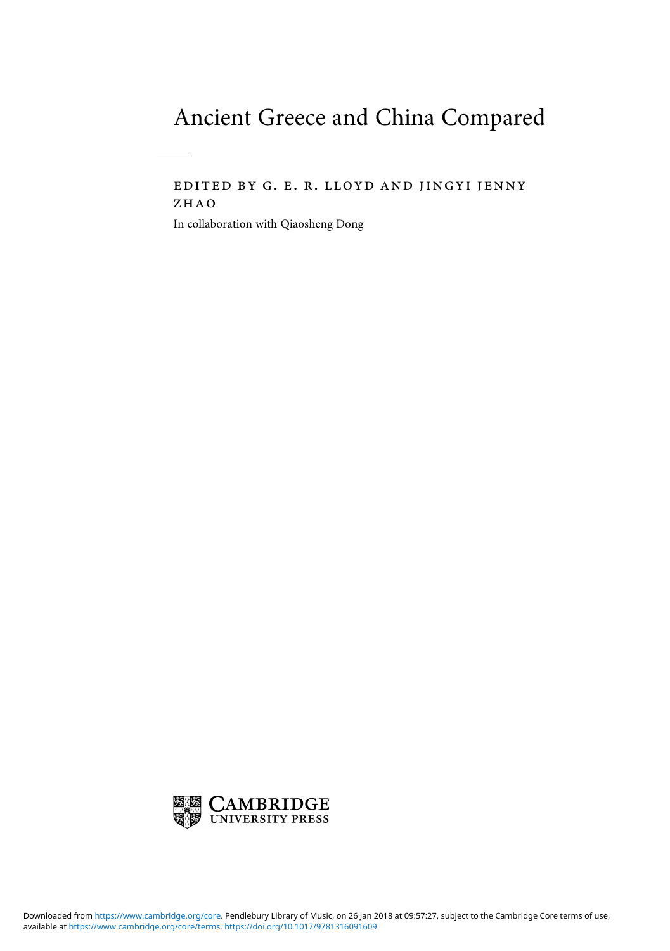# Ancient Greece and China Compared

edited by g. e. r. lloyd and jingyi jenny zhao

In collaboration with Qiaosheng Dong

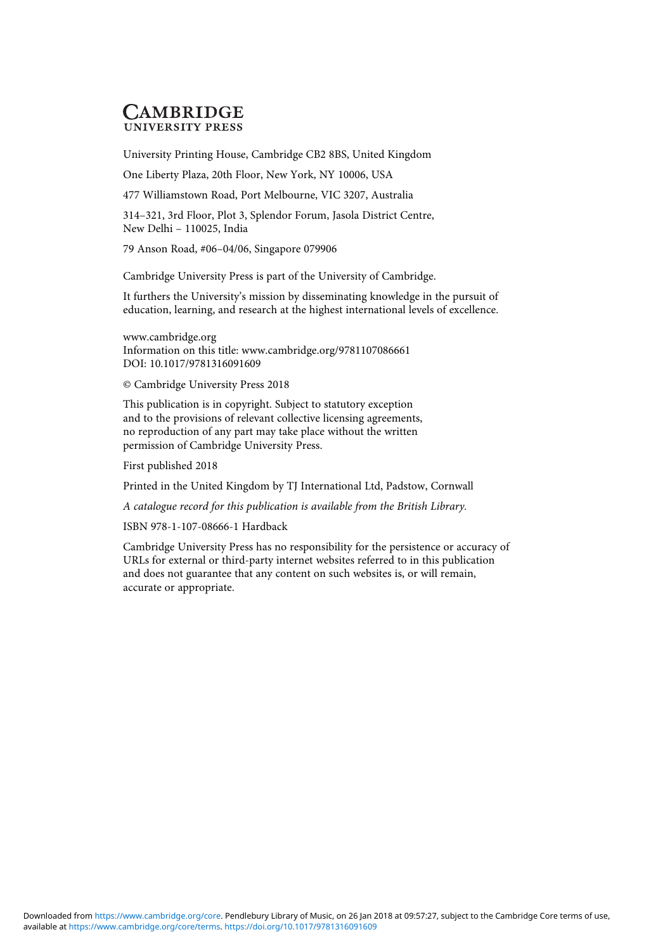# **CAMBRIDGE UNIVERSITY PRESS**

University Printing House, Cambridge CB2 8BS, United Kingdom

One Liberty Plaza, 20th Floor, New York, NY 10006, USA

477 Williamstown Road, Port Melbourne, VIC 3207, Australia

314–321, 3rd Floor, Plot 3, Splendor Forum, Jasola District Centre, New Delhi – 110025, India

79 Anson Road, #06–04/06, Singapore 079906

Cambridge University Press is part of the University of Cambridge.

It furthers the University's mission by disseminating knowledge in the pursuit of education, learning, and research at the highest international levels of excellence.

www.cambridge.org Information on this title: www.cambridge.org/9781107086661 DOI: 10.1017/9781316091609

© Cambridge University Press 2018

This publication is in copyright. Subject to statutory exception and to the provisions of relevant collective licensing agreements, no reproduction of any part may take place without the written permission of Cambridge University Press.

First published 2018

Printed in the United Kingdom by TJ International Ltd, Padstow, Cornwall

A catalogue record for this publication is available from the British Library.

ISBN 978-1-107-08666-1 Hardback

Cambridge University Press has no responsibility for the persistence or accuracy of URLs for external or third-party internet websites referred to in this publication and does not guarantee that any content on such websites is, or will remain, accurate or appropriate.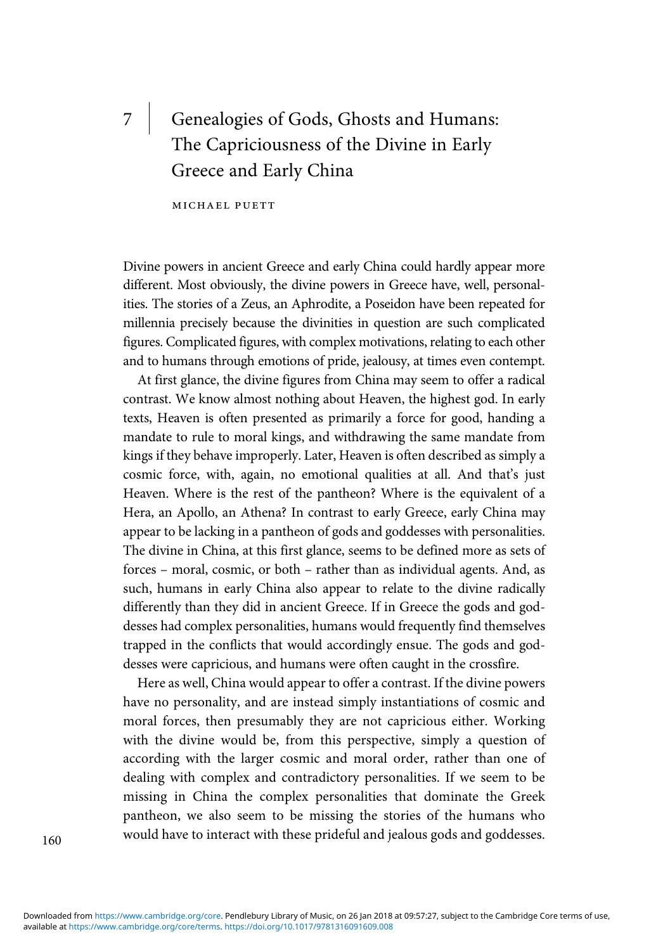# 7 Genealogies of Gods, Ghosts and Humans: The Capriciousness of the Divine in Early Greece and Early China

michael puett

Divine powers in ancient Greece and early China could hardly appear more different. Most obviously, the divine powers in Greece have, well, personalities. The stories of a Zeus, an Aphrodite, a Poseidon have been repeated for millennia precisely because the divinities in question are such complicated figures. Complicated figures, with complex motivations, relating to each other and to humans through emotions of pride, jealousy, at times even contempt.

At first glance, the divine figures from China may seem to offer a radical contrast. We know almost nothing about Heaven, the highest god. In early texts, Heaven is often presented as primarily a force for good, handing a mandate to rule to moral kings, and withdrawing the same mandate from kings if they behave improperly. Later, Heaven is often described as simply a cosmic force, with, again, no emotional qualities at all. And that's just Heaven. Where is the rest of the pantheon? Where is the equivalent of a Hera, an Apollo, an Athena? In contrast to early Greece, early China may appear to be lacking in a pantheon of gods and goddesses with personalities. The divine in China, at this first glance, seems to be defined more as sets of forces – moral, cosmic, or both – rather than as individual agents. And, as such, humans in early China also appear to relate to the divine radically differently than they did in ancient Greece. If in Greece the gods and goddesses had complex personalities, humans would frequently find themselves trapped in the conflicts that would accordingly ensue. The gods and goddesses were capricious, and humans were often caught in the crossfire.

Here as well, China would appear to offer a contrast. If the divine powers have no personality, and are instead simply instantiations of cosmic and moral forces, then presumably they are not capricious either. Working with the divine would be, from this perspective, simply a question of according with the larger cosmic and moral order, rather than one of dealing with complex and contradictory personalities. If we seem to be missing in China the complex personalities that dominate the Greek pantheon, we also seem to be missing the stories of the humans who would have to interact with these prideful and jealous gods and goddesses. <sup>160</sup>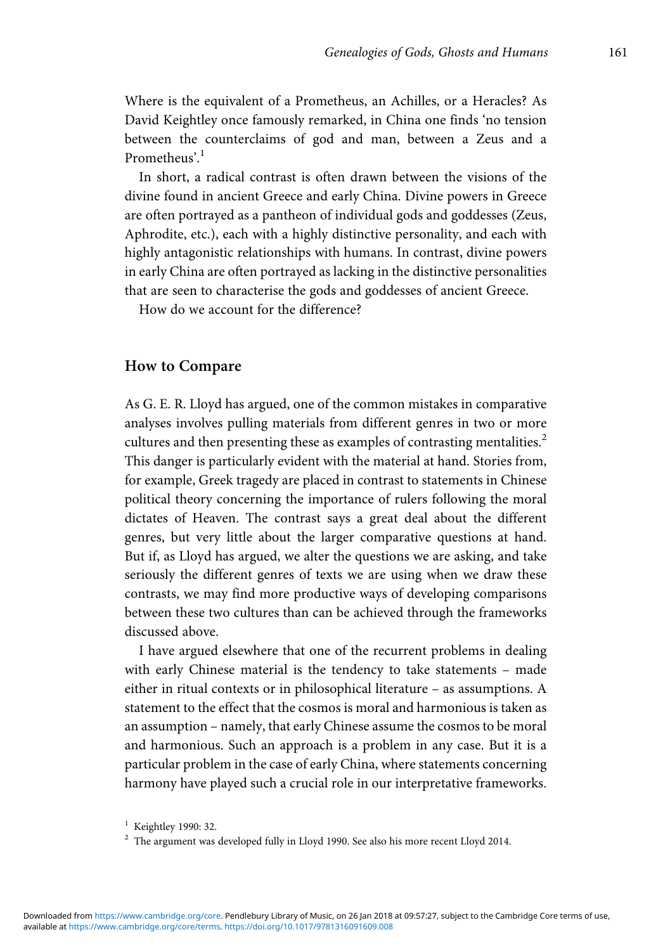Where is the equivalent of a Prometheus, an Achilles, or a Heracles? As David Keightley once famously remarked, in China one finds 'no tension between the counterclaims of god and man, between a Zeus and a Prometheus'. 1

In short, a radical contrast is often drawn between the visions of the divine found in ancient Greece and early China. Divine powers in Greece are often portrayed as a pantheon of individual gods and goddesses (Zeus, Aphrodite, etc.), each with a highly distinctive personality, and each with highly antagonistic relationships with humans. In contrast, divine powers in early China are often portrayed as lacking in the distinctive personalities that are seen to characterise the gods and goddesses of ancient Greece.

How do we account for the difference?

#### How to Compare

As G. E. R. Lloyd has argued, one of the common mistakes in comparative analyses involves pulling materials from different genres in two or more cultures and then presenting these as examples of contrasting mentalities.<sup>2</sup> This danger is particularly evident with the material at hand. Stories from, for example, Greek tragedy are placed in contrast to statements in Chinese political theory concerning the importance of rulers following the moral dictates of Heaven. The contrast says a great deal about the different genres, but very little about the larger comparative questions at hand. But if, as Lloyd has argued, we alter the questions we are asking, and take seriously the different genres of texts we are using when we draw these contrasts, we may find more productive ways of developing comparisons between these two cultures than can be achieved through the frameworks discussed above.

I have argued elsewhere that one of the recurrent problems in dealing with early Chinese material is the tendency to take statements – made either in ritual contexts or in philosophical literature – as assumptions. A statement to the effect that the cosmos is moral and harmonious is taken as an assumption – namely, that early Chinese assume the cosmos to be moral and harmonious. Such an approach is a problem in any case. But it is a particular problem in the case of early China, where statements concerning harmony have played such a crucial role in our interpretative frameworks.

 $<sup>1</sup>$  Keightley 1990: 32.</sup>

 $2$  The argument was developed fully in Lloyd 1990. See also his more recent Lloyd 2014.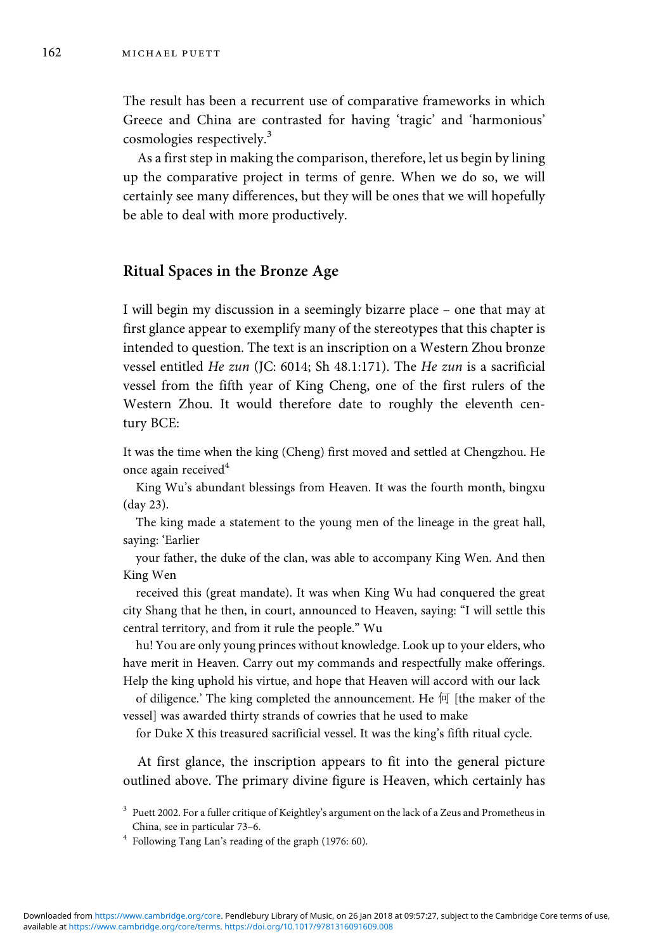The result has been a recurrent use of comparative frameworks in which Greece and China are contrasted for having 'tragic' and 'harmonious' cosmologies respectively.<sup>3</sup>

As a first step in making the comparison, therefore, let us begin by lining up the comparative project in terms of genre. When we do so, we will certainly see many differences, but they will be ones that we will hopefully be able to deal with more productively.

#### Ritual Spaces in the Bronze Age

I will begin my discussion in a seemingly bizarre place – one that may at first glance appear to exemplify many of the stereotypes that this chapter is intended to question. The text is an inscription on a Western Zhou bronze vessel entitled He zun (JC: 6014; Sh 48.1:171). The He zun is a sacrificial vessel from the fifth year of King Cheng, one of the first rulers of the Western Zhou. It would therefore date to roughly the eleventh century BCE:

It was the time when the king (Cheng) first moved and settled at Chengzhou. He once again received<sup>4</sup>

King Wu's abundant blessings from Heaven. It was the fourth month, bingxu (day 23).

The king made a statement to the young men of the lineage in the great hall, saying: 'Earlier

your father, the duke of the clan, was able to accompany King Wen. And then King Wen

received this (great mandate). It was when King Wu had conquered the great city Shang that he then, in court, announced to Heaven, saying: "I will settle this central territory, and from it rule the people." Wu

hu! You are only young princes without knowledge. Look up to your elders, who have merit in Heaven. Carry out my commands and respectfully make offerings. Help the king uphold his virtue, and hope that Heaven will accord with our lack

of diligence.' The king completed the announcement. He 何 [the maker of the vessel] was awarded thirty strands of cowries that he used to make

for Duke X this treasured sacrificial vessel. It was the king's fifth ritual cycle.

At first glance, the inscription appears to fit into the general picture outlined above. The primary divine figure is Heaven, which certainly has

<sup>&</sup>lt;sup>3</sup> Puett 2002. For a fuller critique of Keightley's argument on the lack of a Zeus and Prometheus in China, see in particular 73–6.

<sup>4</sup> Following Tang Lan's reading of the graph (1976: 60).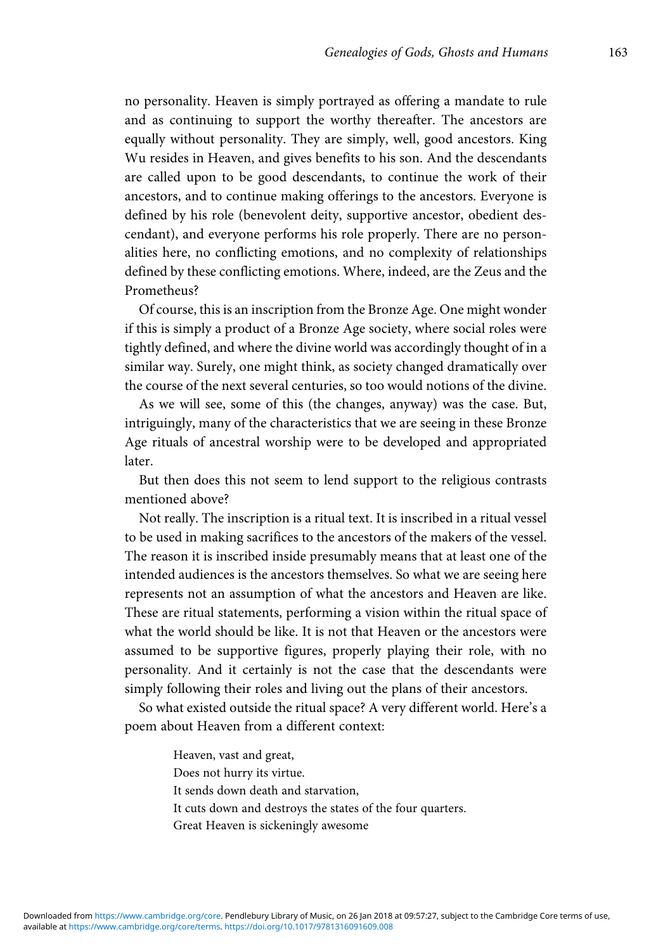no personality. Heaven is simply portrayed as offering a mandate to rule and as continuing to support the worthy thereafter. The ancestors are equally without personality. They are simply, well, good ancestors. King Wu resides in Heaven, and gives benefits to his son. And the descendants are called upon to be good descendants, to continue the work of their ancestors, and to continue making offerings to the ancestors. Everyone is defined by his role (benevolent deity, supportive ancestor, obedient descendant), and everyone performs his role properly. There are no personalities here, no conflicting emotions, and no complexity of relationships defined by these conflicting emotions. Where, indeed, are the Zeus and the Prometheus?

Of course, this is an inscription from the Bronze Age. One might wonder if this is simply a product of a Bronze Age society, where social roles were tightly defined, and where the divine world was accordingly thought of in a similar way. Surely, one might think, as society changed dramatically over the course of the next several centuries, so too would notions of the divine.

As we will see, some of this (the changes, anyway) was the case. But, intriguingly, many of the characteristics that we are seeing in these Bronze Age rituals of ancestral worship were to be developed and appropriated later.

But then does this not seem to lend support to the religious contrasts mentioned above?

Not really. The inscription is a ritual text. It is inscribed in a ritual vessel to be used in making sacrifices to the ancestors of the makers of the vessel. The reason it is inscribed inside presumably means that at least one of the intended audiences is the ancestors themselves. So what we are seeing here represents not an assumption of what the ancestors and Heaven are like. These are ritual statements, performing a vision within the ritual space of what the world should be like. It is not that Heaven or the ancestors were assumed to be supportive figures, properly playing their role, with no personality. And it certainly is not the case that the descendants were simply following their roles and living out the plans of their ancestors.

So what existed outside the ritual space? A very different world. Here's a poem about Heaven from a different context:

> Heaven, vast and great, Does not hurry its virtue. It sends down death and starvation, It cuts down and destroys the states of the four quarters. Great Heaven is sickeningly awesome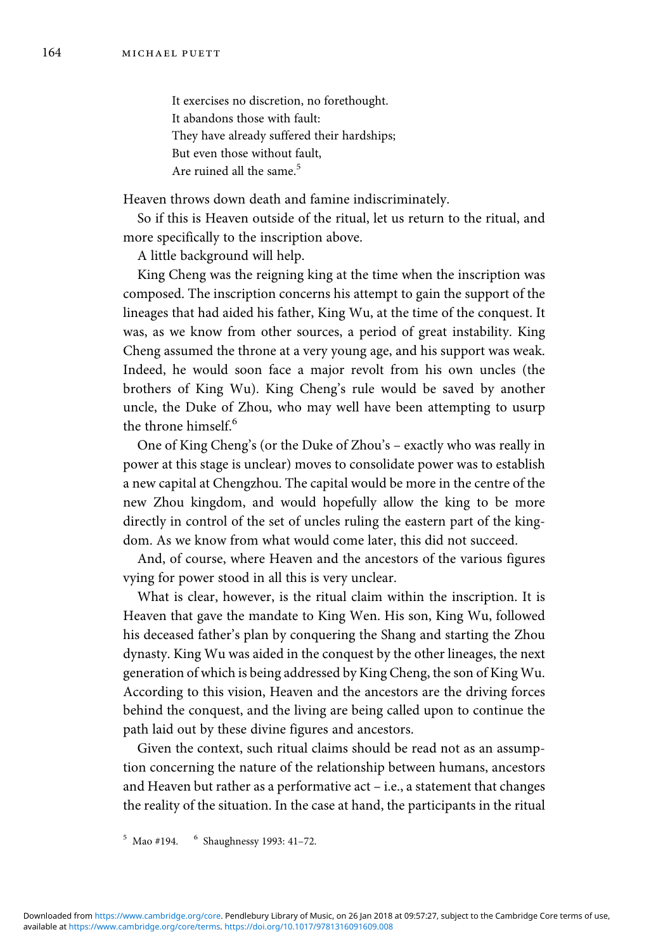It exercises no discretion, no forethought. It abandons those with fault: They have already suffered their hardships; But even those without fault, Are ruined all the same.<sup>5</sup>

Heaven throws down death and famine indiscriminately.

So if this is Heaven outside of the ritual, let us return to the ritual, and more specifically to the inscription above.

A little background will help.

King Cheng was the reigning king at the time when the inscription was composed. The inscription concerns his attempt to gain the support of the lineages that had aided his father, King Wu, at the time of the conquest. It was, as we know from other sources, a period of great instability. King Cheng assumed the throne at a very young age, and his support was weak. Indeed, he would soon face a major revolt from his own uncles (the brothers of King Wu). King Cheng's rule would be saved by another uncle, the Duke of Zhou, who may well have been attempting to usurp the throne himself.<sup>6</sup>

One of King Cheng's (or the Duke of Zhou's – exactly who was really in power at this stage is unclear) moves to consolidate power was to establish a new capital at Chengzhou. The capital would be more in the centre of the new Zhou kingdom, and would hopefully allow the king to be more directly in control of the set of uncles ruling the eastern part of the kingdom. As we know from what would come later, this did not succeed.

And, of course, where Heaven and the ancestors of the various figures vying for power stood in all this is very unclear.

What is clear, however, is the ritual claim within the inscription. It is Heaven that gave the mandate to King Wen. His son, King Wu, followed his deceased father's plan by conquering the Shang and starting the Zhou dynasty. King Wu was aided in the conquest by the other lineages, the next generation of which is being addressed by King Cheng, the son of King Wu. According to this vision, Heaven and the ancestors are the driving forces behind the conquest, and the living are being called upon to continue the path laid out by these divine figures and ancestors.

Given the context, such ritual claims should be read not as an assumption concerning the nature of the relationship between humans, ancestors and Heaven but rather as a performative act – i.e., a statement that changes the reality of the situation. In the case at hand, the participants in the ritual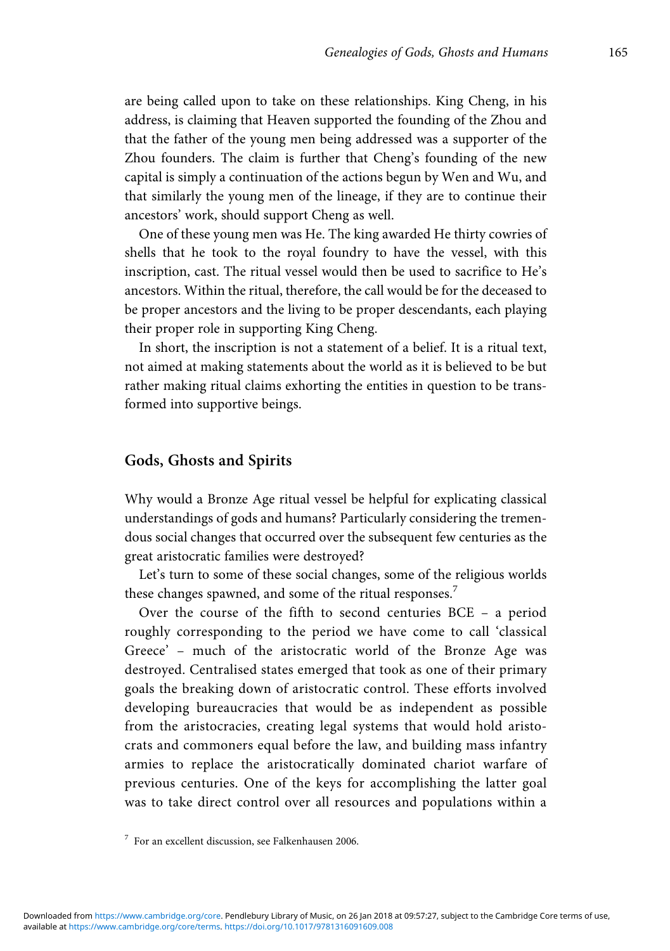are being called upon to take on these relationships. King Cheng, in his address, is claiming that Heaven supported the founding of the Zhou and that the father of the young men being addressed was a supporter of the Zhou founders. The claim is further that Cheng's founding of the new capital is simply a continuation of the actions begun by Wen and Wu, and that similarly the young men of the lineage, if they are to continue their ancestors' work, should support Cheng as well.

One of these young men was He. The king awarded He thirty cowries of shells that he took to the royal foundry to have the vessel, with this inscription, cast. The ritual vessel would then be used to sacrifice to He's ancestors. Within the ritual, therefore, the call would be for the deceased to be proper ancestors and the living to be proper descendants, each playing their proper role in supporting King Cheng.

In short, the inscription is not a statement of a belief. It is a ritual text, not aimed at making statements about the world as it is believed to be but rather making ritual claims exhorting the entities in question to be transformed into supportive beings.

#### Gods, Ghosts and Spirits

Why would a Bronze Age ritual vessel be helpful for explicating classical understandings of gods and humans? Particularly considering the tremendous social changes that occurred over the subsequent few centuries as the great aristocratic families were destroyed?

Let's turn to some of these social changes, some of the religious worlds these changes spawned, and some of the ritual responses.<sup>7</sup>

Over the course of the fifth to second centuries BCE – a period roughly corresponding to the period we have come to call 'classical Greece' – much of the aristocratic world of the Bronze Age was destroyed. Centralised states emerged that took as one of their primary goals the breaking down of aristocratic control. These efforts involved developing bureaucracies that would be as independent as possible from the aristocracies, creating legal systems that would hold aristocrats and commoners equal before the law, and building mass infantry armies to replace the aristocratically dominated chariot warfare of previous centuries. One of the keys for accomplishing the latter goal was to take direct control over all resources and populations within a

<sup>7</sup> For an excellent discussion, see Falkenhausen 2006.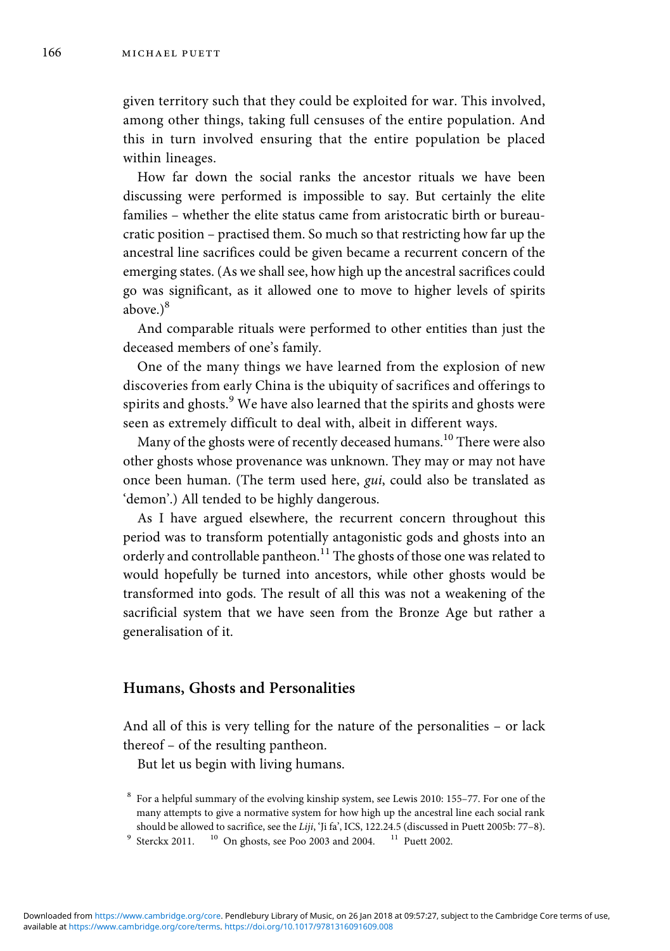given territory such that they could be exploited for war. This involved, among other things, taking full censuses of the entire population. And this in turn involved ensuring that the entire population be placed within lineages.

How far down the social ranks the ancestor rituals we have been discussing were performed is impossible to say. But certainly the elite families – whether the elite status came from aristocratic birth or bureaucratic position – practised them. So much so that restricting how far up the ancestral line sacrifices could be given became a recurrent concern of the emerging states. (As we shall see, how high up the ancestral sacrifices could go was significant, as it allowed one to move to higher levels of spirits above.<sup>8</sup>

And comparable rituals were performed to other entities than just the deceased members of one's family.

One of the many things we have learned from the explosion of new discoveries from early China is the ubiquity of sacrifices and offerings to spirits and ghosts.<sup>9</sup> We have also learned that the spirits and ghosts were seen as extremely difficult to deal with, albeit in different ways.

Many of the ghosts were of recently deceased humans.<sup>10</sup> There were also other ghosts whose provenance was unknown. They may or may not have once been human. (The term used here, *gui*, could also be translated as 'demon'.) All tended to be highly dangerous.

As I have argued elsewhere, the recurrent concern throughout this period was to transform potentially antagonistic gods and ghosts into an orderly and controllable pantheon.<sup>11</sup> The ghosts of those one was related to would hopefully be turned into ancestors, while other ghosts would be transformed into gods. The result of all this was not a weakening of the sacrificial system that we have seen from the Bronze Age but rather a generalisation of it.

#### Humans, Ghosts and Personalities

And all of this is very telling for the nature of the personalities – or lack thereof – of the resulting pantheon.

But let us begin with living humans.

<sup>9</sup> Sterckx 2011. <sup>10</sup> On ghosts, see Poo 2003 and 2004. <sup>11</sup> Puett 2002.

<sup>8</sup> For a helpful summary of the evolving kinship system, see Lewis 2010: 155–77. For one of the many attempts to give a normative system for how high up the ancestral line each social rank should be allowed to sacrifice, see the Liji, 'Ji fa', ICS, 122.24.5 (discussed in Puett 2005b: 77-8).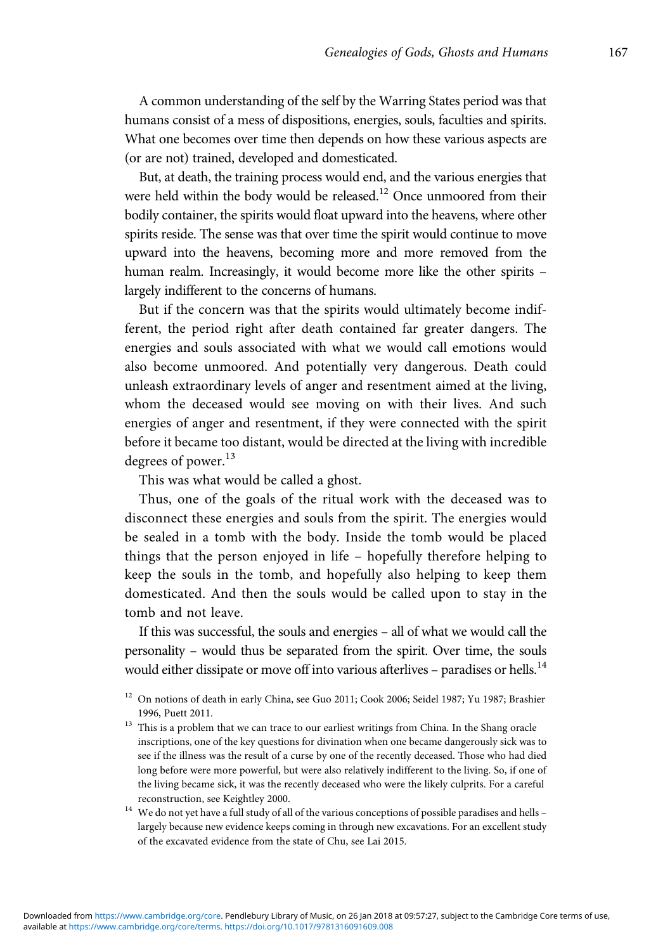A common understanding of the self by the Warring States period was that humans consist of a mess of dispositions, energies, souls, faculties and spirits. What one becomes over time then depends on how these various aspects are (or are not) trained, developed and domesticated.

But, at death, the training process would end, and the various energies that were held within the body would be released.<sup>12</sup> Once unmoored from their bodily container, the spirits would float upward into the heavens, where other spirits reside. The sense was that over time the spirit would continue to move upward into the heavens, becoming more and more removed from the human realm. Increasingly, it would become more like the other spirits – largely indifferent to the concerns of humans.

But if the concern was that the spirits would ultimately become indifferent, the period right after death contained far greater dangers. The energies and souls associated with what we would call emotions would also become unmoored. And potentially very dangerous. Death could unleash extraordinary levels of anger and resentment aimed at the living, whom the deceased would see moving on with their lives. And such energies of anger and resentment, if they were connected with the spirit before it became too distant, would be directed at the living with incredible degrees of power.<sup>13</sup>

This was what would be called a ghost.

Thus, one of the goals of the ritual work with the deceased was to disconnect these energies and souls from the spirit. The energies would be sealed in a tomb with the body. Inside the tomb would be placed things that the person enjoyed in life – hopefully therefore helping to keep the souls in the tomb, and hopefully also helping to keep them domesticated. And then the souls would be called upon to stay in the tomb and not leave.

If this was successful, the souls and energies – all of what we would call the personality – would thus be separated from the spirit. Over time, the souls would either dissipate or move off into various afterlives - paradises or hells.<sup>14</sup>

- <sup>13</sup> This is a problem that we can trace to our earliest writings from China. In the Shang oracle inscriptions, one of the key questions for divination when one became dangerously sick was to see if the illness was the result of a curse by one of the recently deceased. Those who had died long before were more powerful, but were also relatively indifferent to the living. So, if one of the living became sick, it was the recently deceased who were the likely culprits. For a careful reconstruction, see Keightley 2000.
- $^{14}\,$  We do not yet have a full study of all of the various conceptions of possible paradises and hells largely because new evidence keeps coming in through new excavations. For an excellent study of the excavated evidence from the state of Chu, see Lai 2015.

<sup>&</sup>lt;sup>12</sup> On notions of death in early China, see Guo 2011; Cook 2006; Seidel 1987; Yu 1987; Brashier 1996, Puett 2011.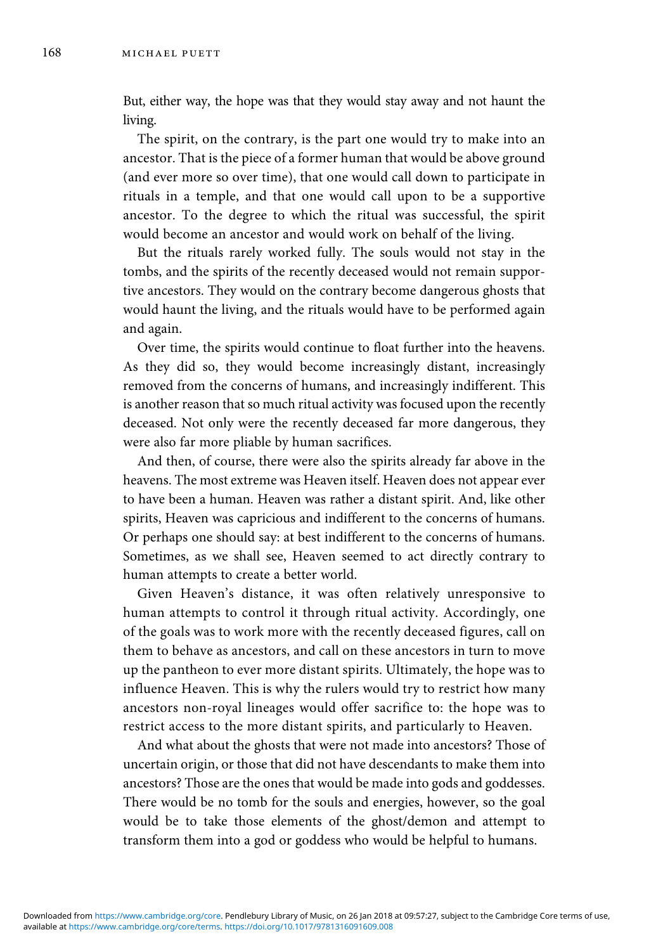But, either way, the hope was that they would stay away and not haunt the living.

The spirit, on the contrary, is the part one would try to make into an ancestor. That is the piece of a former human that would be above ground (and ever more so over time), that one would call down to participate in rituals in a temple, and that one would call upon to be a supportive ancestor. To the degree to which the ritual was successful, the spirit would become an ancestor and would work on behalf of the living.

But the rituals rarely worked fully. The souls would not stay in the tombs, and the spirits of the recently deceased would not remain supportive ancestors. They would on the contrary become dangerous ghosts that would haunt the living, and the rituals would have to be performed again and again.

Over time, the spirits would continue to float further into the heavens. As they did so, they would become increasingly distant, increasingly removed from the concerns of humans, and increasingly indifferent. This is another reason that so much ritual activity was focused upon the recently deceased. Not only were the recently deceased far more dangerous, they were also far more pliable by human sacrifices.

And then, of course, there were also the spirits already far above in the heavens. The most extreme was Heaven itself. Heaven does not appear ever to have been a human. Heaven was rather a distant spirit. And, like other spirits, Heaven was capricious and indifferent to the concerns of humans. Or perhaps one should say: at best indifferent to the concerns of humans. Sometimes, as we shall see, Heaven seemed to act directly contrary to human attempts to create a better world.

Given Heaven's distance, it was often relatively unresponsive to human attempts to control it through ritual activity. Accordingly, one of the goals was to work more with the recently deceased figures, call on them to behave as ancestors, and call on these ancestors in turn to move up the pantheon to ever more distant spirits. Ultimately, the hope was to influence Heaven. This is why the rulers would try to restrict how many ancestors non-royal lineages would offer sacrifice to: the hope was to restrict access to the more distant spirits, and particularly to Heaven.

And what about the ghosts that were not made into ancestors? Those of uncertain origin, or those that did not have descendants to make them into ancestors? Those are the ones that would be made into gods and goddesses. There would be no tomb for the souls and energies, however, so the goal would be to take those elements of the ghost/demon and attempt to transform them into a god or goddess who would be helpful to humans.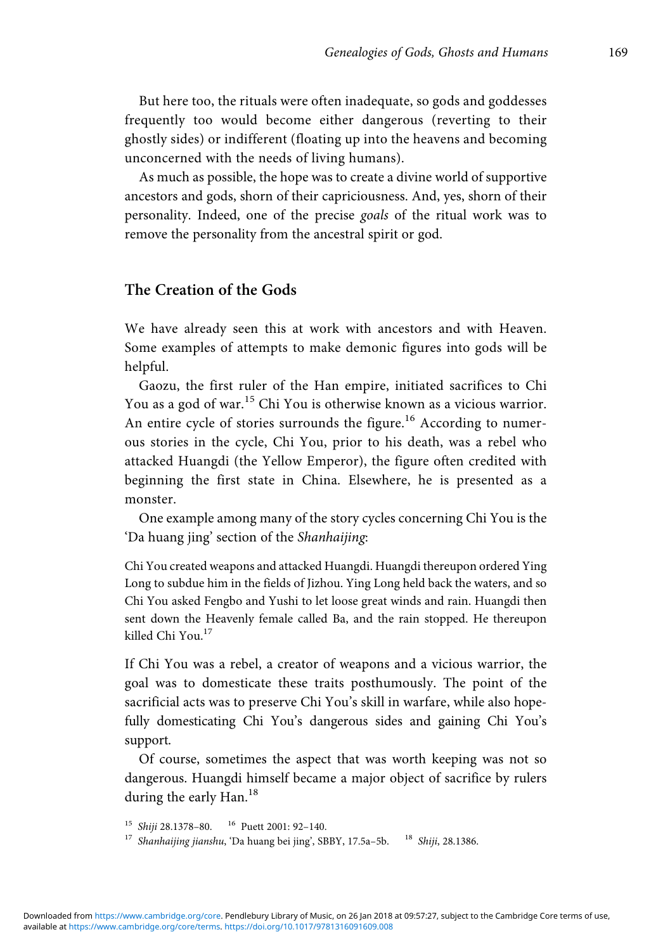But here too, the rituals were often inadequate, so gods and goddesses frequently too would become either dangerous (reverting to their ghostly sides) or indifferent (floating up into the heavens and becoming unconcerned with the needs of living humans).

As much as possible, the hope was to create a divine world of supportive ancestors and gods, shorn of their capriciousness. And, yes, shorn of their personality. Indeed, one of the precise goals of the ritual work was to remove the personality from the ancestral spirit or god.

## The Creation of the Gods

We have already seen this at work with ancestors and with Heaven. Some examples of attempts to make demonic figures into gods will be helpful.

Gaozu, the first ruler of the Han empire, initiated sacrifices to Chi You as a god of war.<sup>15</sup> Chi You is otherwise known as a vicious warrior. An entire cycle of stories surrounds the figure.<sup>16</sup> According to numerous stories in the cycle, Chi You, prior to his death, was a rebel who attacked Huangdi (the Yellow Emperor), the figure often credited with beginning the first state in China. Elsewhere, he is presented as a monster.

One example among many of the story cycles concerning Chi You is the 'Da huang jing' section of the Shanhaijing:

Chi You created weapons and attacked Huangdi. Huangdi thereupon ordered Ying Long to subdue him in the fields of Jizhou. Ying Long held back the waters, and so Chi You asked Fengbo and Yushi to let loose great winds and rain. Huangdi then sent down the Heavenly female called Ba, and the rain stopped. He thereupon killed Chi You.17

If Chi You was a rebel, a creator of weapons and a vicious warrior, the goal was to domesticate these traits posthumously. The point of the sacrificial acts was to preserve Chi You's skill in warfare, while also hopefully domesticating Chi You's dangerous sides and gaining Chi You's support.

Of course, sometimes the aspect that was worth keeping was not so dangerous. Huangdi himself became a major object of sacrifice by rulers during the early Han.<sup>18</sup>

<sup>&</sup>lt;sup>15</sup> Shiji 28.1378-80. <sup>16</sup> Puett 2001: 92-140. <sup>17</sup> Shanhaijing jianshu, 'Da huang bei jing', SBBY, 17.5a-5b. <sup>18</sup> Shiji, 28.1386.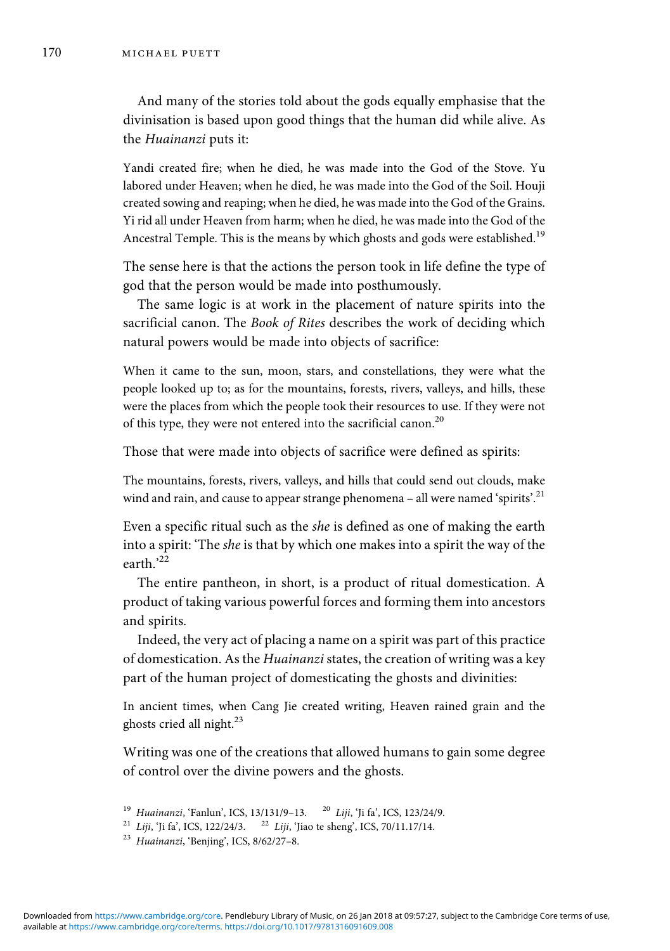And many of the stories told about the gods equally emphasise that the divinisation is based upon good things that the human did while alive. As the Huainanzi puts it:

Yandi created fire; when he died, he was made into the God of the Stove. Yu labored under Heaven; when he died, he was made into the God of the Soil. Houji created sowing and reaping; when he died, he was made into the God of the Grains. Yi rid all under Heaven from harm; when he died, he was made into the God of the Ancestral Temple. This is the means by which ghosts and gods were established.<sup>19</sup>

The sense here is that the actions the person took in life define the type of god that the person would be made into posthumously.

The same logic is at work in the placement of nature spirits into the sacrificial canon. The Book of Rites describes the work of deciding which natural powers would be made into objects of sacrifice:

When it came to the sun, moon, stars, and constellations, they were what the people looked up to; as for the mountains, forests, rivers, valleys, and hills, these were the places from which the people took their resources to use. If they were not of this type, they were not entered into the sacrificial canon.<sup>20</sup>

Those that were made into objects of sacrifice were defined as spirits:

The mountains, forests, rivers, valleys, and hills that could send out clouds, make wind and rain, and cause to appear strange phenomena – all were named 'spirits'.<sup>21</sup>

Even a specific ritual such as the she is defined as one of making the earth into a spirit: 'The she is that by which one makes into a spirit the way of the earth.' 22

The entire pantheon, in short, is a product of ritual domestication. A product of taking various powerful forces and forming them into ancestors and spirits.

Indeed, the very act of placing a name on a spirit was part of this practice of domestication. As the Huainanzi states, the creation of writing was a key part of the human project of domesticating the ghosts and divinities:

In ancient times, when Cang Jie created writing, Heaven rained grain and the ghosts cried all night. $^{23}$ 

Writing was one of the creations that allowed humans to gain some degree of control over the divine powers and the ghosts.

<sup>&</sup>lt;sup>19</sup> Huainanzi, 'Fanlun', ICS, 13/131/9-13. <sup>20</sup> Liji, 'Ji fa', ICS, 123/24/9.

<sup>&</sup>lt;sup>21</sup> Liji, 'Ji fa', ICS, 122/24/3. <sup>22</sup> Liji, 'Jiao te sheng', ICS, 70/11.17/14.

<sup>&</sup>lt;sup>23</sup> Huainanzi, 'Benjing', ICS, 8/62/27-8.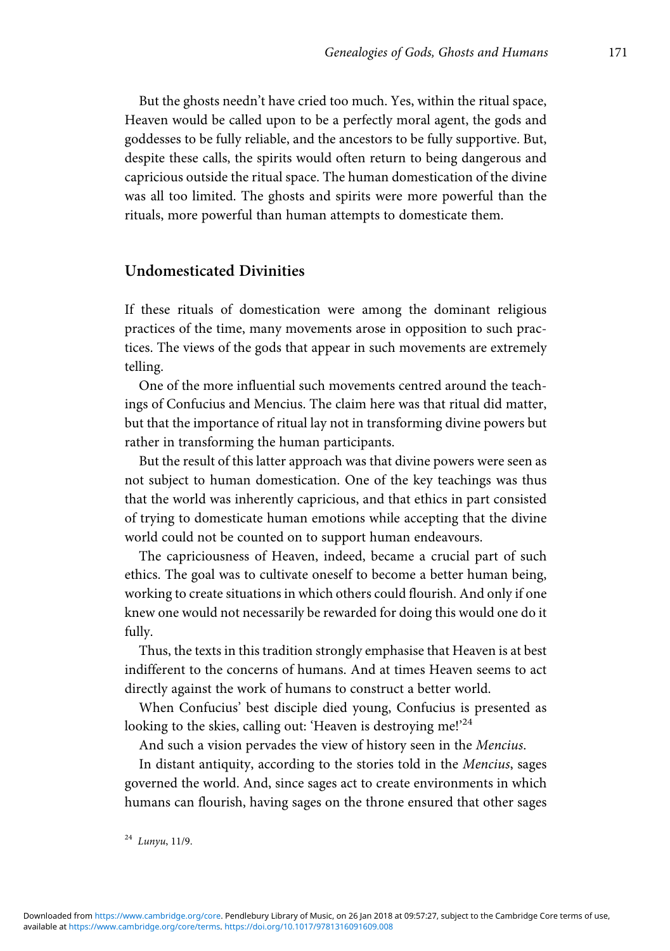But the ghosts needn't have cried too much. Yes, within the ritual space, Heaven would be called upon to be a perfectly moral agent, the gods and goddesses to be fully reliable, and the ancestors to be fully supportive. But, despite these calls, the spirits would often return to being dangerous and capricious outside the ritual space. The human domestication of the divine was all too limited. The ghosts and spirits were more powerful than the rituals, more powerful than human attempts to domesticate them.

#### Undomesticated Divinities

If these rituals of domestication were among the dominant religious practices of the time, many movements arose in opposition to such practices. The views of the gods that appear in such movements are extremely telling.

One of the more influential such movements centred around the teachings of Confucius and Mencius. The claim here was that ritual did matter, but that the importance of ritual lay not in transforming divine powers but rather in transforming the human participants.

But the result of this latter approach was that divine powers were seen as not subject to human domestication. One of the key teachings was thus that the world was inherently capricious, and that ethics in part consisted of trying to domesticate human emotions while accepting that the divine world could not be counted on to support human endeavours.

The capriciousness of Heaven, indeed, became a crucial part of such ethics. The goal was to cultivate oneself to become a better human being, working to create situations in which others could flourish. And only if one knew one would not necessarily be rewarded for doing this would one do it fully.

Thus, the texts in this tradition strongly emphasise that Heaven is at best indifferent to the concerns of humans. And at times Heaven seems to act directly against the work of humans to construct a better world.

When Confucius' best disciple died young, Confucius is presented as looking to the skies, calling out: 'Heaven is destroying me!'<sup>24</sup>

And such a vision pervades the view of history seen in the Mencius.

In distant antiquity, according to the stories told in the Mencius, sages governed the world. And, since sages act to create environments in which humans can flourish, having sages on the throne ensured that other sages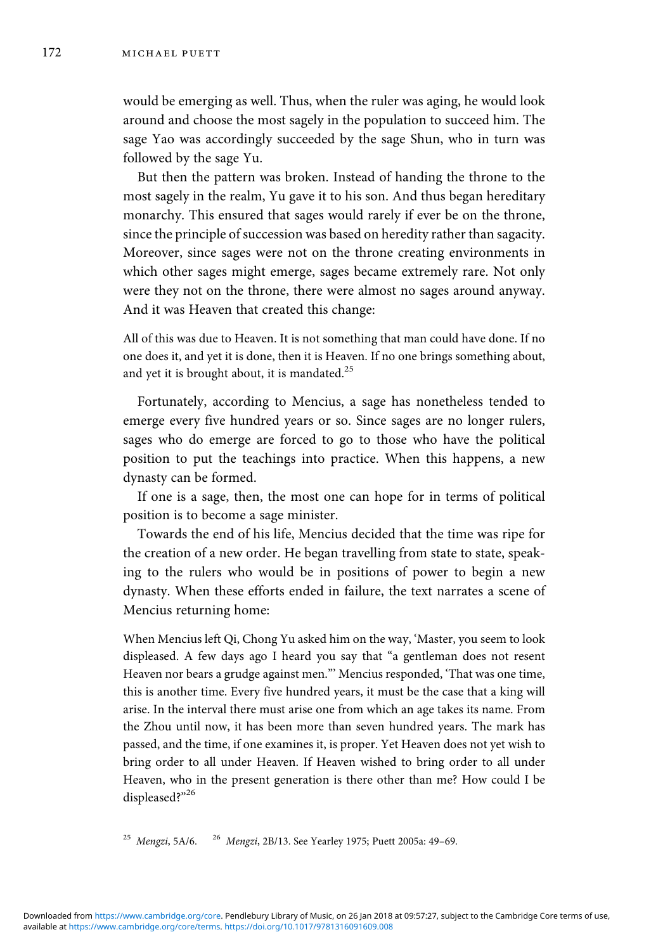would be emerging as well. Thus, when the ruler was aging, he would look around and choose the most sagely in the population to succeed him. The sage Yao was accordingly succeeded by the sage Shun, who in turn was followed by the sage Yu.

But then the pattern was broken. Instead of handing the throne to the most sagely in the realm, Yu gave it to his son. And thus began hereditary monarchy. This ensured that sages would rarely if ever be on the throne, since the principle of succession was based on heredity rather than sagacity. Moreover, since sages were not on the throne creating environments in which other sages might emerge, sages became extremely rare. Not only were they not on the throne, there were almost no sages around anyway. And it was Heaven that created this change:

All of this was due to Heaven. It is not something that man could have done. If no one does it, and yet it is done, then it is Heaven. If no one brings something about, and yet it is brought about, it is mandated.<sup>25</sup>

Fortunately, according to Mencius, a sage has nonetheless tended to emerge every five hundred years or so. Since sages are no longer rulers, sages who do emerge are forced to go to those who have the political position to put the teachings into practice. When this happens, a new dynasty can be formed.

If one is a sage, then, the most one can hope for in terms of political position is to become a sage minister.

Towards the end of his life, Mencius decided that the time was ripe for the creation of a new order. He began travelling from state to state, speaking to the rulers who would be in positions of power to begin a new dynasty. When these efforts ended in failure, the text narrates a scene of Mencius returning home:

When Mencius left Qi, Chong Yu asked him on the way, 'Master, you seem to look displeased. A few days ago I heard you say that "a gentleman does not resent Heaven nor bears a grudge against men."' Mencius responded, 'That was one time, this is another time. Every five hundred years, it must be the case that a king will arise. In the interval there must arise one from which an age takes its name. From the Zhou until now, it has been more than seven hundred years. The mark has passed, and the time, if one examines it, is proper. Yet Heaven does not yet wish to bring order to all under Heaven. If Heaven wished to bring order to all under Heaven, who in the present generation is there other than me? How could I be displeased?" 26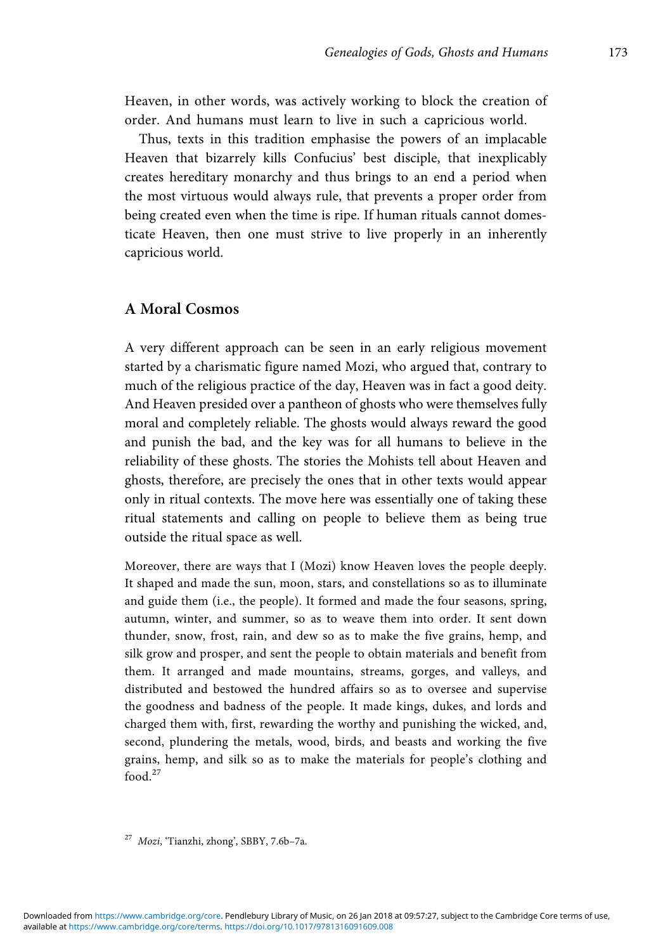Heaven, in other words, was actively working to block the creation of order. And humans must learn to live in such a capricious world.

Thus, texts in this tradition emphasise the powers of an implacable Heaven that bizarrely kills Confucius' best disciple, that inexplicably creates hereditary monarchy and thus brings to an end a period when the most virtuous would always rule, that prevents a proper order from being created even when the time is ripe. If human rituals cannot domesticate Heaven, then one must strive to live properly in an inherently capricious world.

# A Moral Cosmos

A very different approach can be seen in an early religious movement started by a charismatic figure named Mozi, who argued that, contrary to much of the religious practice of the day, Heaven was in fact a good deity. And Heaven presided over a pantheon of ghosts who were themselves fully moral and completely reliable. The ghosts would always reward the good and punish the bad, and the key was for all humans to believe in the reliability of these ghosts. The stories the Mohists tell about Heaven and ghosts, therefore, are precisely the ones that in other texts would appear only in ritual contexts. The move here was essentially one of taking these ritual statements and calling on people to believe them as being true outside the ritual space as well.

Moreover, there are ways that I (Mozi) know Heaven loves the people deeply. It shaped and made the sun, moon, stars, and constellations so as to illuminate and guide them (i.e., the people). It formed and made the four seasons, spring, autumn, winter, and summer, so as to weave them into order. It sent down thunder, snow, frost, rain, and dew so as to make the five grains, hemp, and silk grow and prosper, and sent the people to obtain materials and benefit from them. It arranged and made mountains, streams, gorges, and valleys, and distributed and bestowed the hundred affairs so as to oversee and supervise the goodness and badness of the people. It made kings, dukes, and lords and charged them with, first, rewarding the worthy and punishing the wicked, and, second, plundering the metals, wood, birds, and beasts and working the five grains, hemp, and silk so as to make the materials for people's clothing and food. $27$ 

<sup>27</sup> Mozi, 'Tianzhi, zhong', SBBY, 7.6b–7a.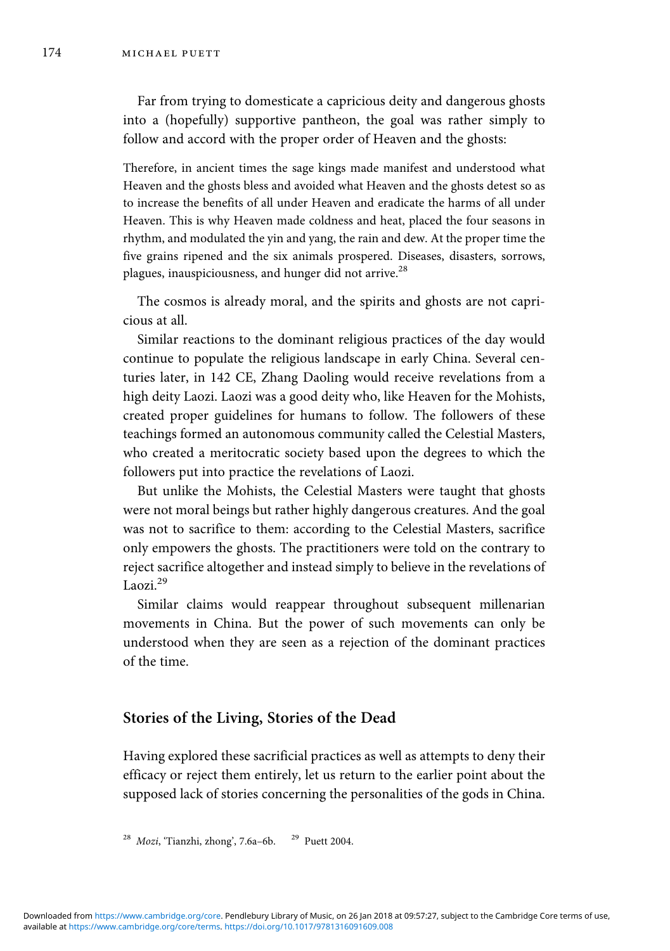Far from trying to domesticate a capricious deity and dangerous ghosts into a (hopefully) supportive pantheon, the goal was rather simply to follow and accord with the proper order of Heaven and the ghosts:

Therefore, in ancient times the sage kings made manifest and understood what Heaven and the ghosts bless and avoided what Heaven and the ghosts detest so as to increase the benefits of all under Heaven and eradicate the harms of all under Heaven. This is why Heaven made coldness and heat, placed the four seasons in rhythm, and modulated the yin and yang, the rain and dew. At the proper time the five grains ripened and the six animals prospered. Diseases, disasters, sorrows, plagues, inauspiciousness, and hunger did not arrive.<sup>28</sup>

The cosmos is already moral, and the spirits and ghosts are not capricious at all.

Similar reactions to the dominant religious practices of the day would continue to populate the religious landscape in early China. Several centuries later, in 142 CE, Zhang Daoling would receive revelations from a high deity Laozi. Laozi was a good deity who, like Heaven for the Mohists, created proper guidelines for humans to follow. The followers of these teachings formed an autonomous community called the Celestial Masters, who created a meritocratic society based upon the degrees to which the followers put into practice the revelations of Laozi.

But unlike the Mohists, the Celestial Masters were taught that ghosts were not moral beings but rather highly dangerous creatures. And the goal was not to sacrifice to them: according to the Celestial Masters, sacrifice only empowers the ghosts. The practitioners were told on the contrary to reject sacrifice altogether and instead simply to believe in the revelations of Laozi. $^{29}$ 

Similar claims would reappear throughout subsequent millenarian movements in China. But the power of such movements can only be understood when they are seen as a rejection of the dominant practices of the time.

#### Stories of the Living, Stories of the Dead

Having explored these sacrificial practices as well as attempts to deny their efficacy or reject them entirely, let us return to the earlier point about the supposed lack of stories concerning the personalities of the gods in China.

 $28$  Mozi, 'Tianzhi, zhong', 7.6a–6b.  $29$  Puett 2004.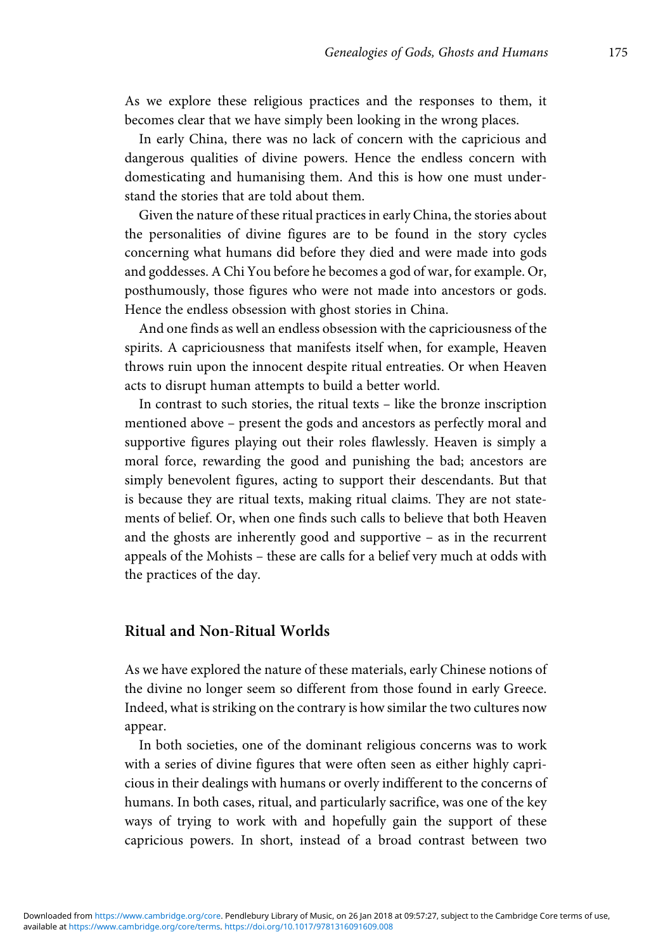As we explore these religious practices and the responses to them, it becomes clear that we have simply been looking in the wrong places.

In early China, there was no lack of concern with the capricious and dangerous qualities of divine powers. Hence the endless concern with domesticating and humanising them. And this is how one must understand the stories that are told about them.

Given the nature of these ritual practices in early China, the stories about the personalities of divine figures are to be found in the story cycles concerning what humans did before they died and were made into gods and goddesses. A Chi You before he becomes a god of war, for example. Or, posthumously, those figures who were not made into ancestors or gods. Hence the endless obsession with ghost stories in China.

And one finds as well an endless obsession with the capriciousness of the spirits. A capriciousness that manifests itself when, for example, Heaven throws ruin upon the innocent despite ritual entreaties. Or when Heaven acts to disrupt human attempts to build a better world.

In contrast to such stories, the ritual texts – like the bronze inscription mentioned above – present the gods and ancestors as perfectly moral and supportive figures playing out their roles flawlessly. Heaven is simply a moral force, rewarding the good and punishing the bad; ancestors are simply benevolent figures, acting to support their descendants. But that is because they are ritual texts, making ritual claims. They are not statements of belief. Or, when one finds such calls to believe that both Heaven and the ghosts are inherently good and supportive – as in the recurrent appeals of the Mohists – these are calls for a belief very much at odds with the practices of the day.

## Ritual and Non-Ritual Worlds

As we have explored the nature of these materials, early Chinese notions of the divine no longer seem so different from those found in early Greece. Indeed, what is striking on the contrary is how similar the two cultures now appear.

In both societies, one of the dominant religious concerns was to work with a series of divine figures that were often seen as either highly capricious in their dealings with humans or overly indifferent to the concerns of humans. In both cases, ritual, and particularly sacrifice, was one of the key ways of trying to work with and hopefully gain the support of these capricious powers. In short, instead of a broad contrast between two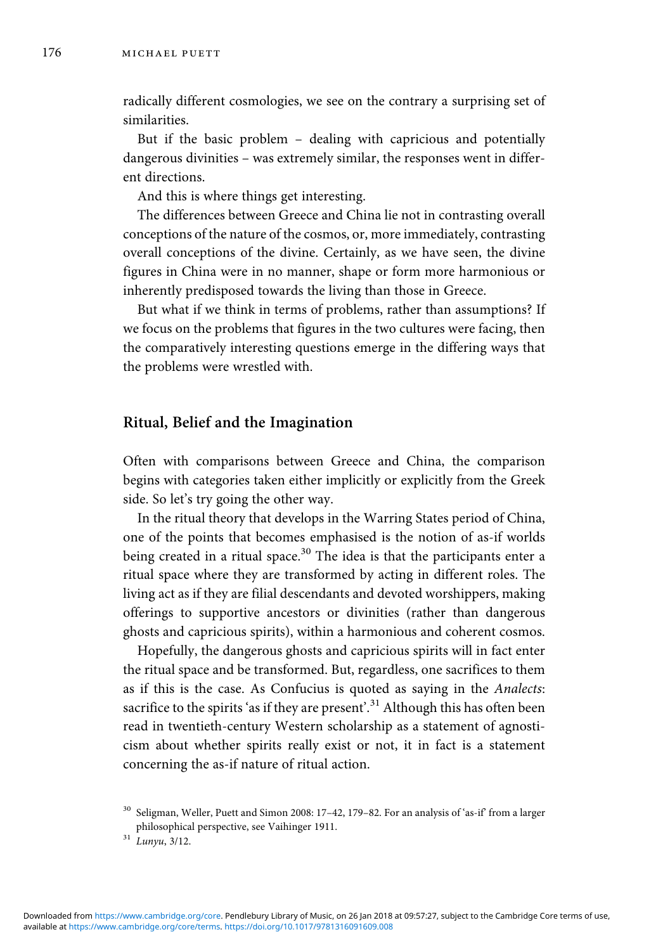radically different cosmologies, we see on the contrary a surprising set of similarities.

But if the basic problem – dealing with capricious and potentially dangerous divinities – was extremely similar, the responses went in different directions.

And this is where things get interesting.

The differences between Greece and China lie not in contrasting overall conceptions of the nature of the cosmos, or, more immediately, contrasting overall conceptions of the divine. Certainly, as we have seen, the divine figures in China were in no manner, shape or form more harmonious or inherently predisposed towards the living than those in Greece.

But what if we think in terms of problems, rather than assumptions? If we focus on the problems that figures in the two cultures were facing, then the comparatively interesting questions emerge in the differing ways that the problems were wrestled with.

#### Ritual, Belief and the Imagination

Often with comparisons between Greece and China, the comparison begins with categories taken either implicitly or explicitly from the Greek side. So let's try going the other way.

In the ritual theory that develops in the Warring States period of China, one of the points that becomes emphasised is the notion of as-if worlds being created in a ritual space.<sup>30</sup> The idea is that the participants enter a ritual space where they are transformed by acting in different roles. The living act as if they are filial descendants and devoted worshippers, making offerings to supportive ancestors or divinities (rather than dangerous ghosts and capricious spirits), within a harmonious and coherent cosmos.

Hopefully, the dangerous ghosts and capricious spirits will in fact enter the ritual space and be transformed. But, regardless, one sacrifices to them as if this is the case. As Confucius is quoted as saying in the Analects: sacrifice to the spirits 'as if they are present'.<sup>31</sup> Although this has often been read in twentieth-century Western scholarship as a statement of agnosticism about whether spirits really exist or not, it in fact is a statement concerning the as-if nature of ritual action.

<sup>&</sup>lt;sup>30</sup> Seligman, Weller, Puett and Simon 2008: 17-42, 179-82. For an analysis of 'as-if' from a larger philosophical perspective, see Vaihinger 1911.

 $31$  Lunyu,  $3/12$ .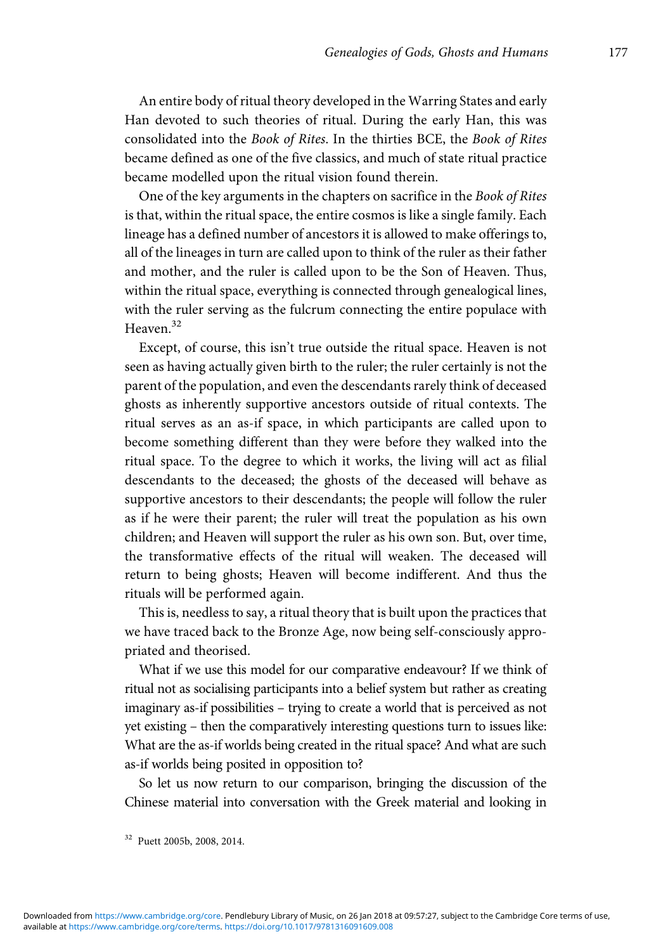An entire body of ritual theory developed in the Warring States and early Han devoted to such theories of ritual. During the early Han, this was consolidated into the Book of Rites. In the thirties BCE, the Book of Rites became defined as one of the five classics, and much of state ritual practice became modelled upon the ritual vision found therein.

One of the key arguments in the chapters on sacrifice in the Book of Rites is that, within the ritual space, the entire cosmos is like a single family. Each lineage has a defined number of ancestors it is allowed to make offerings to, all of the lineages in turn are called upon to think of the ruler as their father and mother, and the ruler is called upon to be the Son of Heaven. Thus, within the ritual space, everything is connected through genealogical lines, with the ruler serving as the fulcrum connecting the entire populace with Heaven.<sup>32</sup>

Except, of course, this isn't true outside the ritual space. Heaven is not seen as having actually given birth to the ruler; the ruler certainly is not the parent of the population, and even the descendants rarely think of deceased ghosts as inherently supportive ancestors outside of ritual contexts. The ritual serves as an as-if space, in which participants are called upon to become something different than they were before they walked into the ritual space. To the degree to which it works, the living will act as filial descendants to the deceased; the ghosts of the deceased will behave as supportive ancestors to their descendants; the people will follow the ruler as if he were their parent; the ruler will treat the population as his own children; and Heaven will support the ruler as his own son. But, over time, the transformative effects of the ritual will weaken. The deceased will return to being ghosts; Heaven will become indifferent. And thus the rituals will be performed again.

This is, needless to say, a ritual theory that is built upon the practices that we have traced back to the Bronze Age, now being self-consciously appropriated and theorised.

What if we use this model for our comparative endeavour? If we think of ritual not as socialising participants into a belief system but rather as creating imaginary as-if possibilities – trying to create a world that is perceived as not yet existing – then the comparatively interesting questions turn to issues like: What are the as-if worlds being created in the ritual space? And what are such as-if worlds being posited in opposition to?

So let us now return to our comparison, bringing the discussion of the Chinese material into conversation with the Greek material and looking in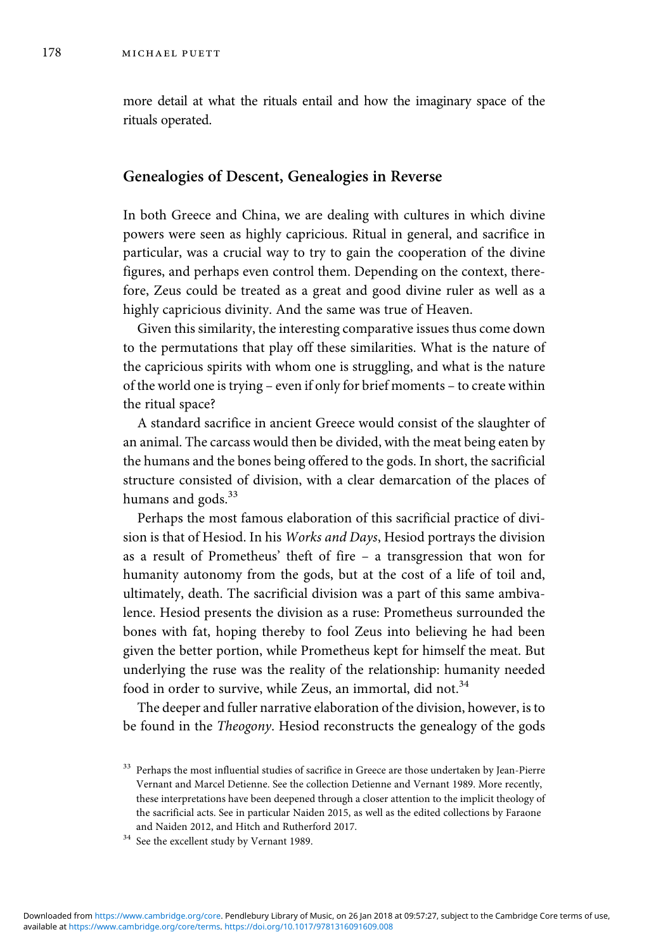more detail at what the rituals entail and how the imaginary space of the rituals operated.

#### Genealogies of Descent, Genealogies in Reverse

In both Greece and China, we are dealing with cultures in which divine powers were seen as highly capricious. Ritual in general, and sacrifice in particular, was a crucial way to try to gain the cooperation of the divine figures, and perhaps even control them. Depending on the context, therefore, Zeus could be treated as a great and good divine ruler as well as a highly capricious divinity. And the same was true of Heaven.

Given this similarity, the interesting comparative issues thus come down to the permutations that play off these similarities. What is the nature of the capricious spirits with whom one is struggling, and what is the nature of the world one is trying – even if only for brief moments – to create within the ritual space?

A standard sacrifice in ancient Greece would consist of the slaughter of an animal. The carcass would then be divided, with the meat being eaten by the humans and the bones being offered to the gods. In short, the sacrificial structure consisted of division, with a clear demarcation of the places of humans and gods. $33$ 

Perhaps the most famous elaboration of this sacrificial practice of division is that of Hesiod. In his Works and Days, Hesiod portrays the division as a result of Prometheus' theft of fire – a transgression that won for humanity autonomy from the gods, but at the cost of a life of toil and, ultimately, death. The sacrificial division was a part of this same ambivalence. Hesiod presents the division as a ruse: Prometheus surrounded the bones with fat, hoping thereby to fool Zeus into believing he had been given the better portion, while Prometheus kept for himself the meat. But underlying the ruse was the reality of the relationship: humanity needed food in order to survive, while Zeus, an immortal, did not.<sup>34</sup>

The deeper and fuller narrative elaboration of the division, however, is to be found in the Theogony. Hesiod reconstructs the genealogy of the gods

<sup>&</sup>lt;sup>33</sup> Perhaps the most influential studies of sacrifice in Greece are those undertaken by Jean-Pierre Vernant and Marcel Detienne. See the collection Detienne and Vernant 1989. More recently, these interpretations have been deepened through a closer attention to the implicit theology of the sacrificial acts. See in particular Naiden 2015, as well as the edited collections by Faraone and Naiden 2012, and Hitch and Rutherford 2017.

<sup>&</sup>lt;sup>34</sup> See the excellent study by Vernant 1989.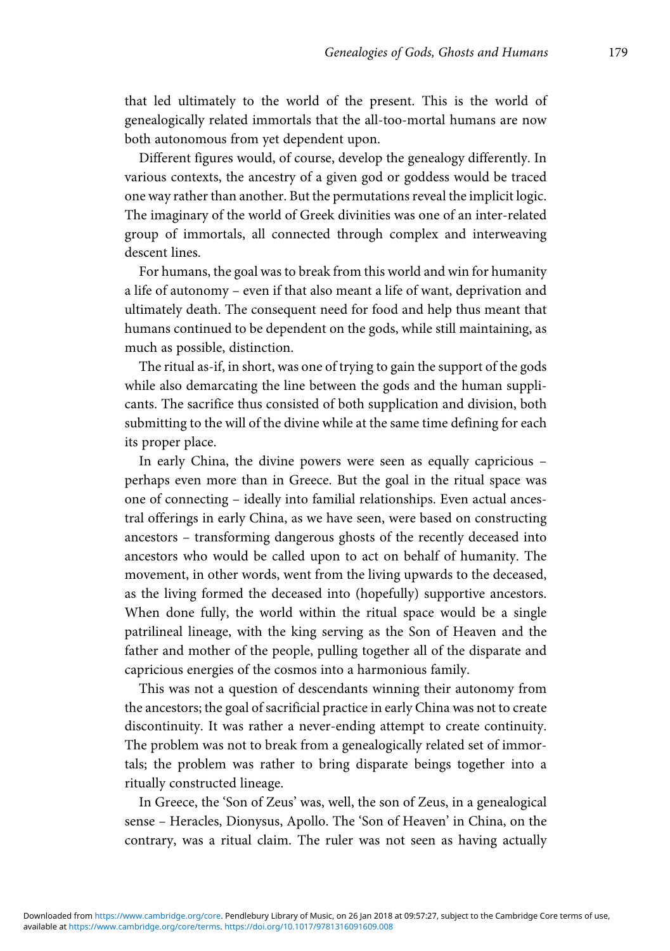that led ultimately to the world of the present. This is the world of genealogically related immortals that the all-too-mortal humans are now both autonomous from yet dependent upon.

Different figures would, of course, develop the genealogy differently. In various contexts, the ancestry of a given god or goddess would be traced one way rather than another. But the permutations reveal the implicit logic. The imaginary of the world of Greek divinities was one of an inter-related group of immortals, all connected through complex and interweaving descent lines.

For humans, the goal was to break from this world and win for humanity a life of autonomy – even if that also meant a life of want, deprivation and ultimately death. The consequent need for food and help thus meant that humans continued to be dependent on the gods, while still maintaining, as much as possible, distinction.

The ritual as-if, in short, was one of trying to gain the support of the gods while also demarcating the line between the gods and the human supplicants. The sacrifice thus consisted of both supplication and division, both submitting to the will of the divine while at the same time defining for each its proper place.

In early China, the divine powers were seen as equally capricious – perhaps even more than in Greece. But the goal in the ritual space was one of connecting – ideally into familial relationships. Even actual ancestral offerings in early China, as we have seen, were based on constructing ancestors – transforming dangerous ghosts of the recently deceased into ancestors who would be called upon to act on behalf of humanity. The movement, in other words, went from the living upwards to the deceased, as the living formed the deceased into (hopefully) supportive ancestors. When done fully, the world within the ritual space would be a single patrilineal lineage, with the king serving as the Son of Heaven and the father and mother of the people, pulling together all of the disparate and capricious energies of the cosmos into a harmonious family.

This was not a question of descendants winning their autonomy from the ancestors; the goal of sacrificial practice in early China was not to create discontinuity. It was rather a never-ending attempt to create continuity. The problem was not to break from a genealogically related set of immortals; the problem was rather to bring disparate beings together into a ritually constructed lineage.

In Greece, the 'Son of Zeus' was, well, the son of Zeus, in a genealogical sense – Heracles, Dionysus, Apollo. The 'Son of Heaven' in China, on the contrary, was a ritual claim. The ruler was not seen as having actually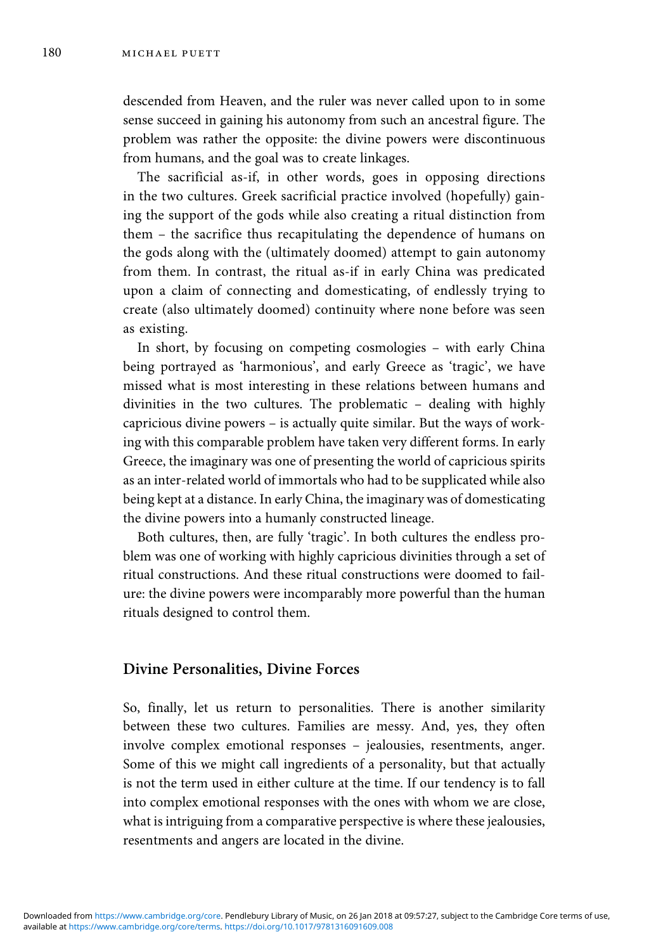descended from Heaven, and the ruler was never called upon to in some sense succeed in gaining his autonomy from such an ancestral figure. The problem was rather the opposite: the divine powers were discontinuous from humans, and the goal was to create linkages.

The sacrificial as-if, in other words, goes in opposing directions in the two cultures. Greek sacrificial practice involved (hopefully) gaining the support of the gods while also creating a ritual distinction from them – the sacrifice thus recapitulating the dependence of humans on the gods along with the (ultimately doomed) attempt to gain autonomy from them. In contrast, the ritual as-if in early China was predicated upon a claim of connecting and domesticating, of endlessly trying to create (also ultimately doomed) continuity where none before was seen as existing.

In short, by focusing on competing cosmologies – with early China being portrayed as 'harmonious', and early Greece as 'tragic', we have missed what is most interesting in these relations between humans and divinities in the two cultures. The problematic – dealing with highly capricious divine powers – is actually quite similar. But the ways of working with this comparable problem have taken very different forms. In early Greece, the imaginary was one of presenting the world of capricious spirits as an inter-related world of immortals who had to be supplicated while also being kept at a distance. In early China, the imaginary was of domesticating the divine powers into a humanly constructed lineage.

Both cultures, then, are fully 'tragic'. In both cultures the endless problem was one of working with highly capricious divinities through a set of ritual constructions. And these ritual constructions were doomed to failure: the divine powers were incomparably more powerful than the human rituals designed to control them.

# Divine Personalities, Divine Forces

So, finally, let us return to personalities. There is another similarity between these two cultures. Families are messy. And, yes, they often involve complex emotional responses – jealousies, resentments, anger. Some of this we might call ingredients of a personality, but that actually is not the term used in either culture at the time. If our tendency is to fall into complex emotional responses with the ones with whom we are close, what is intriguing from a comparative perspective is where these jealousies, resentments and angers are located in the divine.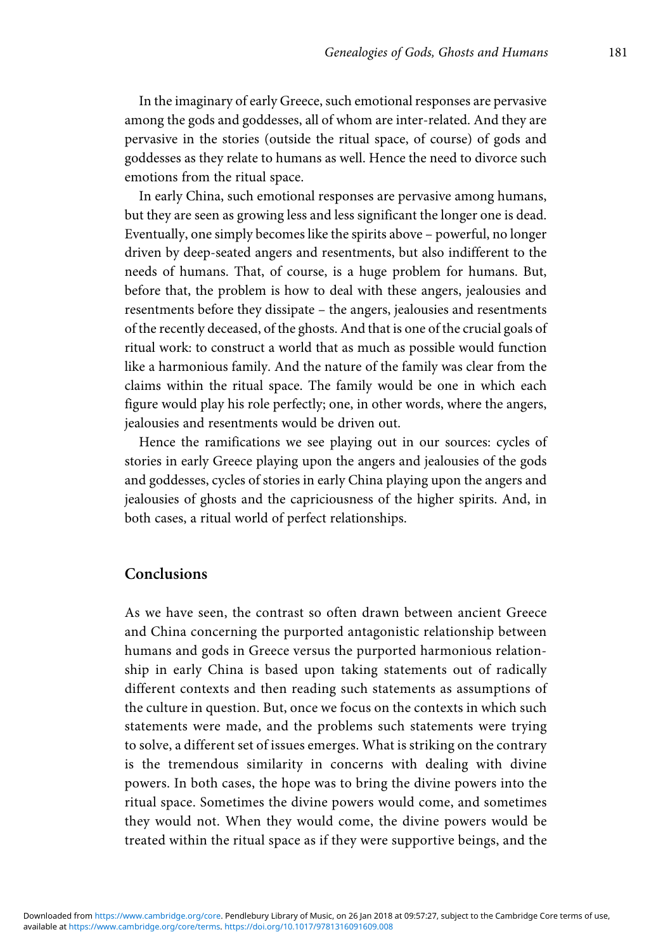In the imaginary of early Greece, such emotional responses are pervasive among the gods and goddesses, all of whom are inter-related. And they are pervasive in the stories (outside the ritual space, of course) of gods and goddesses as they relate to humans as well. Hence the need to divorce such emotions from the ritual space.

In early China, such emotional responses are pervasive among humans, but they are seen as growing less and less significant the longer one is dead. Eventually, one simply becomes like the spirits above – powerful, no longer driven by deep-seated angers and resentments, but also indifferent to the needs of humans. That, of course, is a huge problem for humans. But, before that, the problem is how to deal with these angers, jealousies and resentments before they dissipate – the angers, jealousies and resentments of the recently deceased, of the ghosts. And that is one of the crucial goals of ritual work: to construct a world that as much as possible would function like a harmonious family. And the nature of the family was clear from the claims within the ritual space. The family would be one in which each figure would play his role perfectly; one, in other words, where the angers, jealousies and resentments would be driven out.

Hence the ramifications we see playing out in our sources: cycles of stories in early Greece playing upon the angers and jealousies of the gods and goddesses, cycles of stories in early China playing upon the angers and jealousies of ghosts and the capriciousness of the higher spirits. And, in both cases, a ritual world of perfect relationships.

## Conclusions

As we have seen, the contrast so often drawn between ancient Greece and China concerning the purported antagonistic relationship between humans and gods in Greece versus the purported harmonious relationship in early China is based upon taking statements out of radically different contexts and then reading such statements as assumptions of the culture in question. But, once we focus on the contexts in which such statements were made, and the problems such statements were trying to solve, a different set of issues emerges. What is striking on the contrary is the tremendous similarity in concerns with dealing with divine powers. In both cases, the hope was to bring the divine powers into the ritual space. Sometimes the divine powers would come, and sometimes they would not. When they would come, the divine powers would be treated within the ritual space as if they were supportive beings, and the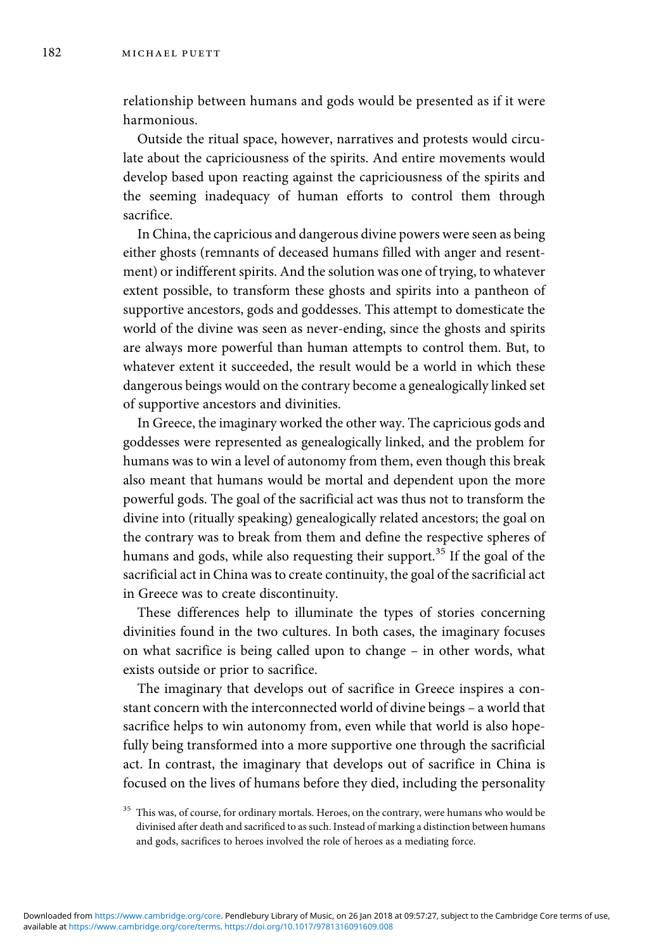relationship between humans and gods would be presented as if it were harmonious.

Outside the ritual space, however, narratives and protests would circulate about the capriciousness of the spirits. And entire movements would develop based upon reacting against the capriciousness of the spirits and the seeming inadequacy of human efforts to control them through sacrifice.

In China, the capricious and dangerous divine powers were seen as being either ghosts (remnants of deceased humans filled with anger and resentment) or indifferent spirits. And the solution was one of trying, to whatever extent possible, to transform these ghosts and spirits into a pantheon of supportive ancestors, gods and goddesses. This attempt to domesticate the world of the divine was seen as never-ending, since the ghosts and spirits are always more powerful than human attempts to control them. But, to whatever extent it succeeded, the result would be a world in which these dangerous beings would on the contrary become a genealogically linked set of supportive ancestors and divinities.

In Greece, the imaginary worked the other way. The capricious gods and goddesses were represented as genealogically linked, and the problem for humans was to win a level of autonomy from them, even though this break also meant that humans would be mortal and dependent upon the more powerful gods. The goal of the sacrificial act was thus not to transform the divine into (ritually speaking) genealogically related ancestors; the goal on the contrary was to break from them and define the respective spheres of humans and gods, while also requesting their support.<sup>35</sup> If the goal of the sacrificial act in China was to create continuity, the goal of the sacrificial act in Greece was to create discontinuity.

These differences help to illuminate the types of stories concerning divinities found in the two cultures. In both cases, the imaginary focuses on what sacrifice is being called upon to change – in other words, what exists outside or prior to sacrifice.

The imaginary that develops out of sacrifice in Greece inspires a constant concern with the interconnected world of divine beings – a world that sacrifice helps to win autonomy from, even while that world is also hopefully being transformed into a more supportive one through the sacrificial act. In contrast, the imaginary that develops out of sacrifice in China is focused on the lives of humans before they died, including the personality

<sup>&</sup>lt;sup>35</sup> This was, of course, for ordinary mortals. Heroes, on the contrary, were humans who would be divinised after death and sacrificed to as such. Instead of marking a distinction between humans and gods, sacrifices to heroes involved the role of heroes as a mediating force.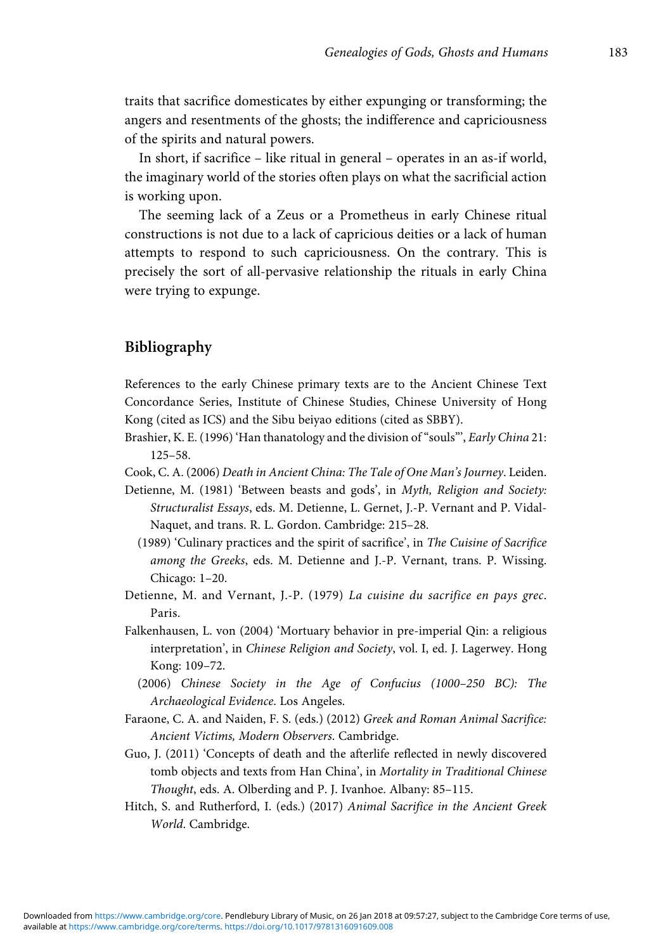traits that sacrifice domesticates by either expunging or transforming; the angers and resentments of the ghosts; the indifference and capriciousness of the spirits and natural powers.

In short, if sacrifice – like ritual in general – operates in an as-if world, the imaginary world of the stories often plays on what the sacrificial action is working upon.

The seeming lack of a Zeus or a Prometheus in early Chinese ritual constructions is not due to a lack of capricious deities or a lack of human attempts to respond to such capriciousness. On the contrary. This is precisely the sort of all-pervasive relationship the rituals in early China were trying to expunge.

# Bibliography

References to the early Chinese primary texts are to the Ancient Chinese Text Concordance Series, Institute of Chinese Studies, Chinese University of Hong Kong (cited as ICS) and the Sibu beiyao editions (cited as SBBY).

- Brashier, K. E. (1996) 'Han thanatology and the division of "souls"', Early China 21: 125–58.
- Cook, C. A. (2006) Death in Ancient China: The Tale of One Man's Journey. Leiden.
- Detienne, M. (1981) 'Between beasts and gods', in Myth, Religion and Society: Structuralist Essays, eds. M. Detienne, L. Gernet, J.-P. Vernant and P. Vidal-Naquet, and trans. R. L. Gordon. Cambridge: 215–28.
	- (1989) 'Culinary practices and the spirit of sacrifice', in The Cuisine of Sacrifice among the Greeks, eds. M. Detienne and J.-P. Vernant, trans. P. Wissing. Chicago: 1–20.
- Detienne, M. and Vernant, J.-P. (1979) La cuisine du sacrifice en pays grec. Paris.
- Falkenhausen, L. von (2004) 'Mortuary behavior in pre-imperial Qin: a religious interpretation', in Chinese Religion and Society, vol. I, ed. J. Lagerwey. Hong Kong: 109–72.
	- (2006) Chinese Society in the Age of Confucius (1000–250 BC): The Archaeological Evidence. Los Angeles.
- Faraone, C. A. and Naiden, F. S. (eds.) (2012) Greek and Roman Animal Sacrifice: Ancient Victims, Modern Observers. Cambridge.
- Guo, J. (2011) 'Concepts of death and the afterlife reflected in newly discovered tomb objects and texts from Han China', in Mortality in Traditional Chinese Thought, eds. A. Olberding and P. J. Ivanhoe. Albany: 85–115.
- Hitch, S. and Rutherford, I. (eds.) (2017) Animal Sacrifice in the Ancient Greek World. Cambridge.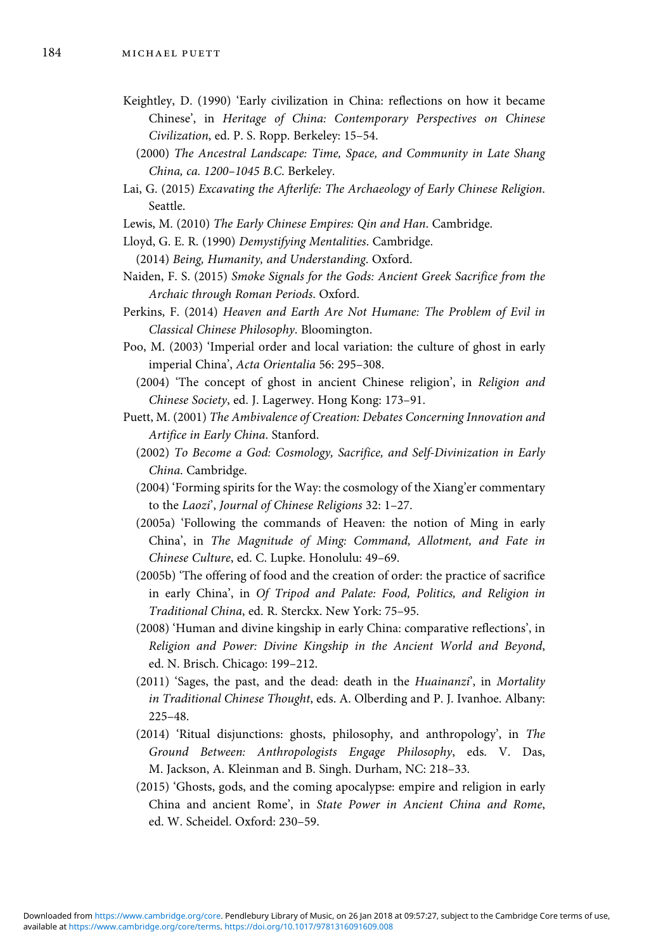- Keightley, D. (1990) 'Early civilization in China: reflections on how it became Chinese', in Heritage of China: Contemporary Perspectives on Chinese Civilization, ed. P. S. Ropp. Berkeley: 15–54.
	- (2000) The Ancestral Landscape: Time, Space, and Community in Late Shang China, ca. 1200–1045 B.C. Berkeley.
- Lai, G. (2015) Excavating the Afterlife: The Archaeology of Early Chinese Religion. Seattle.
- Lewis, M. (2010) The Early Chinese Empires: Qin and Han. Cambridge.
- Lloyd, G. E. R. (1990) Demystifying Mentalities. Cambridge.
	- (2014) Being, Humanity, and Understanding. Oxford.
- Naiden, F. S. (2015) Smoke Signals for the Gods: Ancient Greek Sacrifice from the Archaic through Roman Periods. Oxford.
- Perkins, F. (2014) Heaven and Earth Are Not Humane: The Problem of Evil in Classical Chinese Philosophy. Bloomington.
- Poo, M. (2003) 'Imperial order and local variation: the culture of ghost in early imperial China', Acta Orientalia 56: 295–308.
	- (2004) 'The concept of ghost in ancient Chinese religion', in Religion and Chinese Society, ed. J. Lagerwey. Hong Kong: 173–91.
- Puett, M. (2001) The Ambivalence of Creation: Debates Concerning Innovation and Artifice in Early China. Stanford.
	- (2002) To Become a God: Cosmology, Sacrifice, and Self-Divinization in Early China. Cambridge.
	- (2004) 'Forming spirits for the Way: the cosmology of the Xiang'er commentary to the Laozi', Journal of Chinese Religions 32: 1–27.
	- (2005a) 'Following the commands of Heaven: the notion of Ming in early China', in The Magnitude of Ming: Command, Allotment, and Fate in Chinese Culture, ed. C. Lupke. Honolulu: 49–69.
	- (2005b) 'The offering of food and the creation of order: the practice of sacrifice in early China', in Of Tripod and Palate: Food, Politics, and Religion in Traditional China, ed. R. Sterckx. New York: 75–95.
	- (2008) 'Human and divine kingship in early China: comparative reflections', in Religion and Power: Divine Kingship in the Ancient World and Beyond, ed. N. Brisch. Chicago: 199–212.
	- (2011) 'Sages, the past, and the dead: death in the Huainanzi', in Mortality in Traditional Chinese Thought, eds. A. Olberding and P. J. Ivanhoe. Albany: 225–48.
	- (2014) 'Ritual disjunctions: ghosts, philosophy, and anthropology', in The Ground Between: Anthropologists Engage Philosophy, eds. V. Das, M. Jackson, A. Kleinman and B. Singh. Durham, NC: 218–33.
	- (2015) 'Ghosts, gods, and the coming apocalypse: empire and religion in early China and ancient Rome', in State Power in Ancient China and Rome, ed. W. Scheidel. Oxford: 230–59.